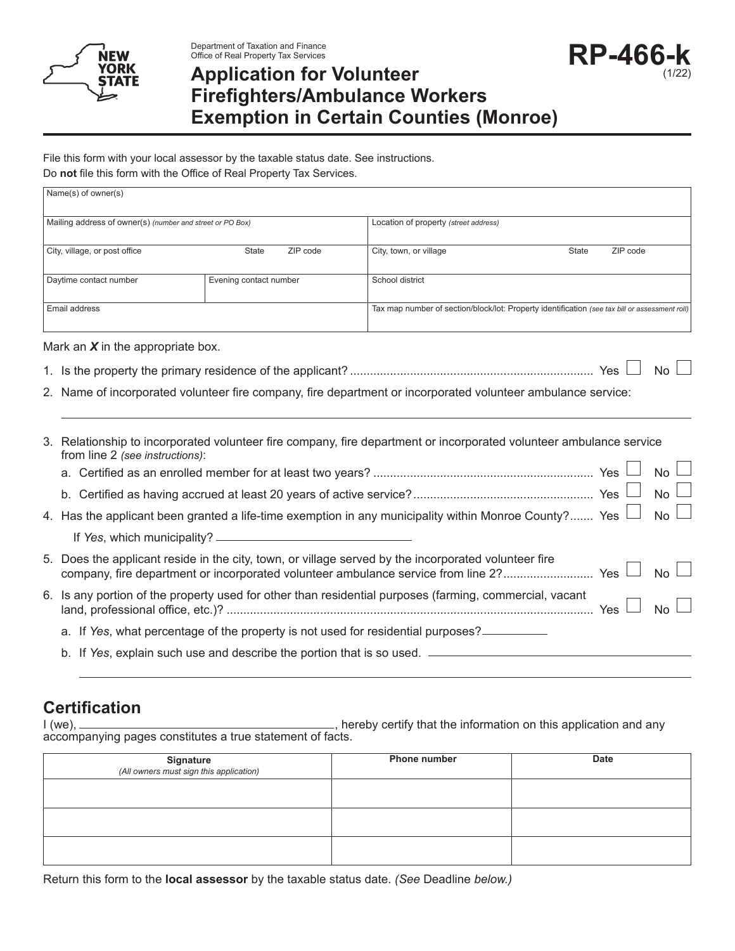

Department of Taxation and Finance Office of Real Property Tax Services

# **Application for Volunteer Firefighters/Ambulance Workers Exemption in Certain Counties (Monroe)**

**RP-466-k**

(1/22)

File this form with your local assessor by the taxable status date. See instructions.

Do **not** file this form with the Office of Real Property Tax Services.

|                                                                                                                                                        | Name(s) of owner(s)                                                                                                                                                                                              |                                                                                                       |                                                                                                |       |          |           |  |  |  |
|--------------------------------------------------------------------------------------------------------------------------------------------------------|------------------------------------------------------------------------------------------------------------------------------------------------------------------------------------------------------------------|-------------------------------------------------------------------------------------------------------|------------------------------------------------------------------------------------------------|-------|----------|-----------|--|--|--|
|                                                                                                                                                        | Mailing address of owner(s) (number and street or PO Box)                                                                                                                                                        |                                                                                                       | Location of property (street address)                                                          |       |          |           |  |  |  |
| City, village, or post office                                                                                                                          |                                                                                                                                                                                                                  | <b>State</b><br>ZIP code                                                                              | City, town, or village                                                                         | State | ZIP code |           |  |  |  |
| Daytime contact number                                                                                                                                 |                                                                                                                                                                                                                  | Evening contact number                                                                                | School district                                                                                |       |          |           |  |  |  |
| Email address                                                                                                                                          |                                                                                                                                                                                                                  |                                                                                                       | Tax map number of section/block/lot: Property identification (see tax bill or assessment roll) |       |          |           |  |  |  |
|                                                                                                                                                        | Mark an $X$ in the appropriate box.                                                                                                                                                                              |                                                                                                       |                                                                                                |       |          |           |  |  |  |
|                                                                                                                                                        |                                                                                                                                                                                                                  |                                                                                                       |                                                                                                |       |          | <b>No</b> |  |  |  |
|                                                                                                                                                        | 2. Name of incorporated volunteer fire company, fire department or incorporated volunteer ambulance service:                                                                                                     |                                                                                                       |                                                                                                |       |          |           |  |  |  |
| 3. Relationship to incorporated volunteer fire company, fire department or incorporated volunteer ambulance service<br>from line 2 (see instructions): |                                                                                                                                                                                                                  |                                                                                                       |                                                                                                |       |          |           |  |  |  |
|                                                                                                                                                        |                                                                                                                                                                                                                  |                                                                                                       |                                                                                                |       |          | <b>No</b> |  |  |  |
|                                                                                                                                                        |                                                                                                                                                                                                                  |                                                                                                       |                                                                                                |       |          | <b>No</b> |  |  |  |
|                                                                                                                                                        |                                                                                                                                                                                                                  | 4. Has the applicant been granted a life-time exemption in any municipality within Monroe County? Yes |                                                                                                |       | No       |           |  |  |  |
|                                                                                                                                                        |                                                                                                                                                                                                                  |                                                                                                       |                                                                                                |       |          |           |  |  |  |
|                                                                                                                                                        | 5. Does the applicant reside in the city, town, or village served by the incorporated volunteer fire<br>company, fire department or incorporated volunteer ambulance service from line 2? Yes<br>No <sub>1</sub> |                                                                                                       |                                                                                                |       |          |           |  |  |  |
| 6. Is any portion of the property used for other than residential purposes (farming, commercial, vacant<br>No                                          |                                                                                                                                                                                                                  |                                                                                                       |                                                                                                |       |          |           |  |  |  |
|                                                                                                                                                        | a. If Yes, what percentage of the property is not used for residential purposes?                                                                                                                                 |                                                                                                       |                                                                                                |       |          |           |  |  |  |
|                                                                                                                                                        |                                                                                                                                                                                                                  |                                                                                                       | b. If Yes, explain such use and describe the portion that is so used. _________________        |       |          |           |  |  |  |

## **Certification**

I (we), , hereby certify that the information on this application and any accompanying pages constitutes a true statement of facts.

| Signature<br>(All owners must sign this application) | <b>Phone number</b> | <b>Date</b> |
|------------------------------------------------------|---------------------|-------------|
|                                                      |                     |             |
|                                                      |                     |             |
|                                                      |                     |             |

Return this form to the **local assessor** by the taxable status date. *(See* Deadline *below.)*